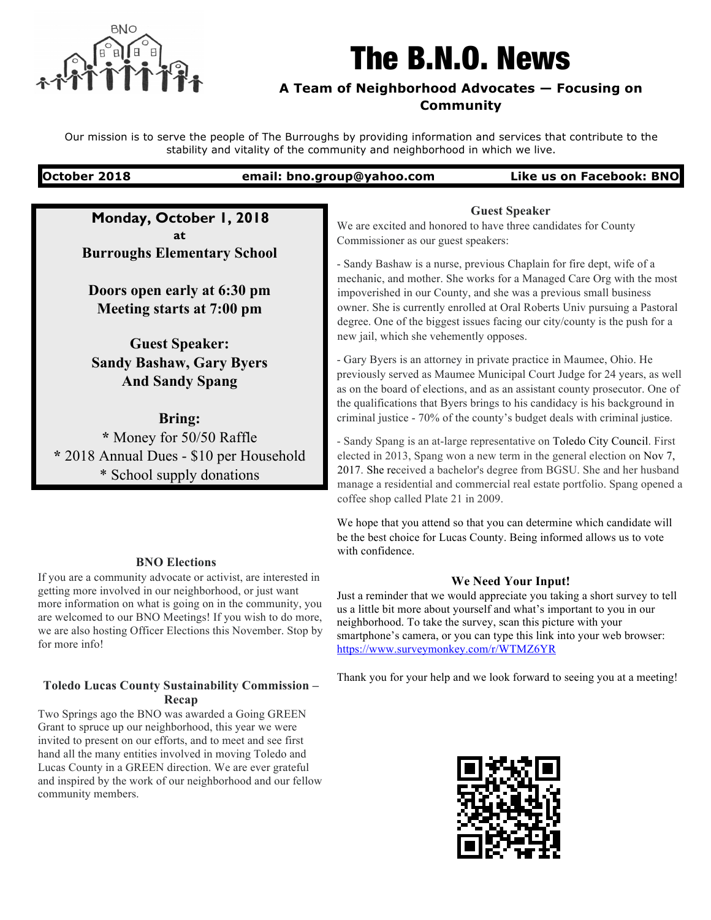

# The B.N.O. News

# **A Team of Neighborhood Advocates — Focusing on Community**

Our mission is to serve the people of The Burroughs by providing information and services that contribute to the stability and vitality of the community and neighborhood in which we live.

# **October 2018 email: bno.group@yahoo.com Like us on Facebook: BNO**

**Monday, October 1, 2018 at Burroughs Elementary School**

**Doors open early at 6:30 pm Meeting starts at 7:00 pm**

**Guest Speaker: Sandy Bashaw, Gary Byers And Sandy Spang** 

**Bring: \*** Money for 50/50 Raffle **\*** 2018 Annual Dues - \$10 per Household \* School supply donations

# **BNO Elections**

If you are a community advocate or activist, are interested in getting more involved in our neighborhood, or just want more information on what is going on in the community, you are welcomed to our BNO Meetings! If you wish to do more, we are also hosting Officer Elections this November. Stop by for more info!

# **Toledo Lucas County Sustainability Commission – Recap**

Two Springs ago the BNO was awarded a Going GREEN Grant to spruce up our neighborhood, this year we were invited to present on our efforts, and to meet and see first hand all the many entities involved in moving Toledo and Lucas County in a GREEN direction. We are ever grateful and inspired by the work of our neighborhood and our fellow community members.

**Guest Speaker** We are excited and honored to have three candidates for County Commissioner as our guest speakers:

- Sandy Bashaw is a nurse, previous Chaplain for fire dept, wife of a mechanic, and mother. She works for a Managed Care Org with the most impoverished in our County, and she was a previous small business owner. She is currently enrolled at Oral Roberts Univ pursuing a Pastoral degree. One of the biggest issues facing our city/county is the push for a new jail, which she vehemently opposes.

- Gary Byers is an attorney in private practice in Maumee, Ohio. He previously served as Maumee Municipal Court Judge for 24 years, as well as on the board of elections, and as an assistant county prosecutor. One of the qualifications that Byers brings to his candidacy is his background in criminal justice - 70% of the county's budget deals with criminal justice.

- Sandy Spang is an at-large representative on Toledo City Council. First elected in 2013, Spang won a new term in the general election on Nov 7, 2017. She received a bachelor's degree from BGSU. She and her husband manage a residential and commercial real estate portfolio. Spang opened a coffee shop called Plate 21 in 2009.

We hope that you attend so that you can determine which candidate will be the best choice for Lucas County. Being informed allows us to vote with confidence.

# **We Need Your Input!**

Just a reminder that we would appreciate you taking a short survey to tell us a little bit more about yourself and what's important to you in our neighborhood. To take the survey, scan this picture with your smartphone's camera, or you can type this link into your web browser: https://www.surveymonkey.com/r/WTMZ6YR

Thank you for your help and we look forward to seeing you at a meeting!